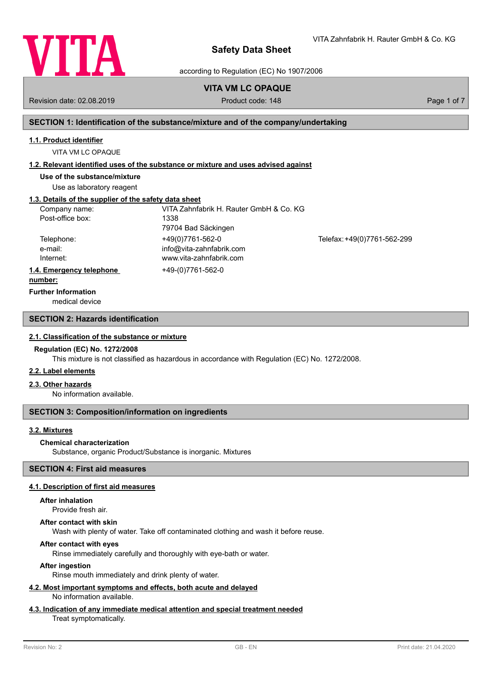

VITA Zahnfabrik H. Rauter GmbH & Co. KG

according to Regulation (EC) No 1907/2006

# **VITA VM LC OPAQUE**

Revision date: 02.08.2019 **Product code: 148** Product code: 148 Page 1 of 7

# **SECTION 1: Identification of the substance/mixture and of the company/undertaking**

### **1.1. Product identifier**

VITA VM LC OPAQUE

# **1.2. Relevant identified uses of the substance or mixture and uses advised against**

**Use of the substance/mixture**

Use as laboratory reagent

# **1.3. Details of the supplier of the safety data sheet**

| Company name:            | VITA Zahnfabrik H. Rauter GmbH & Co. KG |                             |
|--------------------------|-----------------------------------------|-----------------------------|
| Post-office box:         | 1338                                    |                             |
|                          | 79704 Bad Säckingen                     |                             |
| Telephone:               | +49(0)7761-562-0                        | Telefax: +49(0)7761-562-299 |
| e-mail:                  | info@vita-zahnfabrik.com                |                             |
| Internet:                | www.vita-zahnfabrik.com                 |                             |
| 1.4. Emergency telephone | +49-(0)7761-562-0                       |                             |
|                          |                                         |                             |

#### **number:**

**Further Information**

medical device

# **SECTION 2: Hazards identification**

#### **2.1. Classification of the substance or mixture**

#### **Regulation (EC) No. 1272/2008**

This mixture is not classified as hazardous in accordance with Regulation (EC) No. 1272/2008.

# **2.2. Label elements**

# **2.3. Other hazards**

No information available.

# **SECTION 3: Composition/information on ingredients**

# **3.2. Mixtures**

# **Chemical characterization**

Substance, organic Product/Substance is inorganic. Mixtures

# **SECTION 4: First aid measures**

# **4.1. Description of first aid measures**

#### **After inhalation**

Provide fresh air.

#### **After contact with skin**

Wash with plenty of water. Take off contaminated clothing and wash it before reuse.

# **After contact with eyes**

Rinse immediately carefully and thoroughly with eye-bath or water.

# **After ingestion**

Rinse mouth immediately and drink plenty of water.

#### **4.2. Most important symptoms and effects, both acute and delayed** No information available.

# **4.3. Indication of any immediate medical attention and special treatment needed**

# Treat symptomatically.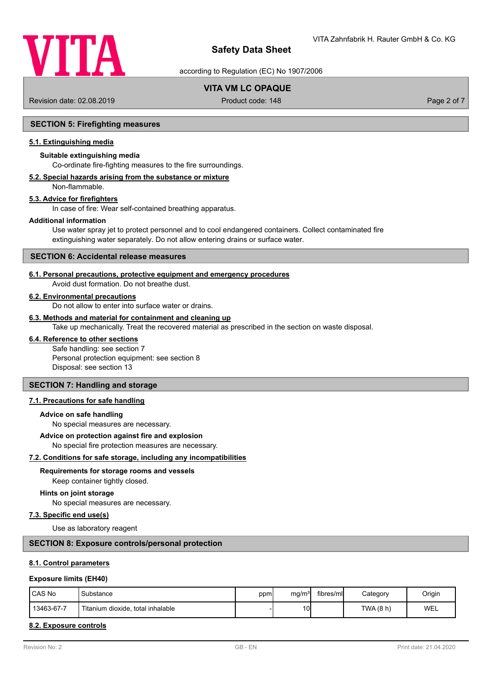

according to Regulation (EC) No 1907/2006

# **VITA VM LC OPAQUE**

Revision date: 02.08.2019 **Product code: 148** Product code: 148 Page 2 of 7

# **SECTION 5: Firefighting measures**

# **5.1. Extinguishing media**

# **Suitable extinguishing media**

Co-ordinate fire-fighting measures to the fire surroundings.

# **5.2. Special hazards arising from the substance or mixture**

Non-flammable.

#### **5.3. Advice for firefighters**

In case of fire: Wear self-contained breathing apparatus.

#### **Additional information**

Use water spray jet to protect personnel and to cool endangered containers. Collect contaminated fire extinguishing water separately. Do not allow entering drains or surface water.

### **SECTION 6: Accidental release measures**

### **6.1. Personal precautions, protective equipment and emergency procedures**

Avoid dust formation. Do not breathe dust.

#### **6.2. Environmental precautions**

Do not allow to enter into surface water or drains.

# **6.3. Methods and material for containment and cleaning up**

Take up mechanically. Treat the recovered material as prescribed in the section on waste disposal.

# **6.4. Reference to other sections**

Safe handling: see section 7 Personal protection equipment: see section 8 Disposal: see section 13

# **SECTION 7: Handling and storage**

### **7.1. Precautions for safe handling**

### **Advice on safe handling**

No special measures are necessary.

### **Advice on protection against fire and explosion**

No special fire protection measures are necessary.

# **7.2. Conditions for safe storage, including any incompatibilities**

#### **Requirements for storage rooms and vessels**

Keep container tightly closed.

### **Hints on joint storage**

No special measures are necessary.

#### **7.3. Specific end use(s)**

Use as laboratory reagent

### **SECTION 8: Exposure controls/personal protection**

#### **8.1. Control parameters**

#### **Exposure limits (EH40)**

| <b>ICAS No</b> | Substance                         | opm | mq/m <sup>3</sup> | fibres/mll | Category  | Origin |
|----------------|-----------------------------------|-----|-------------------|------------|-----------|--------|
| 13463-67-7     | Titanium dioxide, total inhalable |     | 10 <sup>1</sup>   |            | TWA (8 h) | WEL    |

# **8.2. Exposure controls**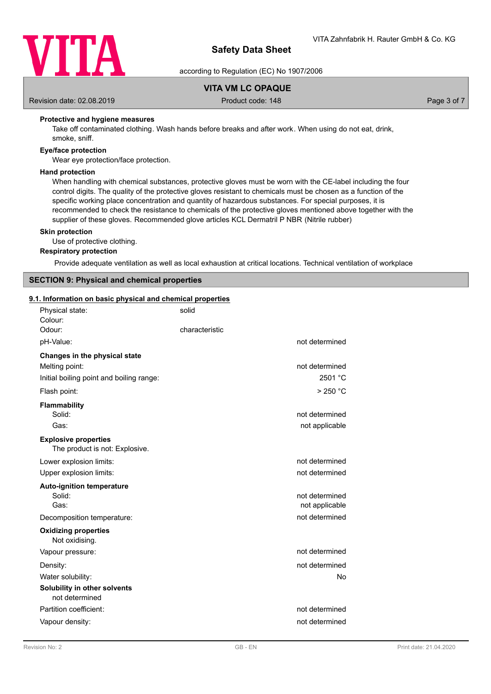

according to Regulation (EC) No 1907/2006

# **VITA VM LC OPAQUE**

Revision date: 02.08.2019 **Product code: 148** Product code: 148 Page 3 of 7

# **Protective and hygiene measures**

Take off contaminated clothing. Wash hands before breaks and after work. When using do not eat, drink, smoke, sniff.

# **Eye/face protection**

Wear eye protection/face protection.

# **Hand protection**

When handling with chemical substances, protective gloves must be worn with the CE-label including the four control digits. The quality of the protective gloves resistant to chemicals must be chosen as a function of the specific working place concentration and quantity of hazardous substances. For special purposes, it is recommended to check the resistance to chemicals of the protective gloves mentioned above together with the supplier of these gloves. Recommended glove articles KCL Dermatril P NBR (Nitrile rubber)

### **Skin protection**

Use of protective clothing.

**Respiratory protection**

Provide adequate ventilation as well as local exhaustion at critical locations. Technical ventilation of workplace

# **SECTION 9: Physical and chemical properties**

# **9.1. Information on basic physical and chemical properties**

| Physical state:<br>Colour:                                    | solid          |                |
|---------------------------------------------------------------|----------------|----------------|
| Odour:                                                        | characteristic |                |
| pH-Value:                                                     |                | not determined |
| Changes in the physical state                                 |                |                |
| Melting point:                                                |                | not determined |
| Initial boiling point and boiling range:                      |                | 2501 °C        |
| Flash point:                                                  |                | $>250$ °C      |
| <b>Flammability</b>                                           |                |                |
| Solid:                                                        |                | not determined |
| Gas:                                                          |                | not applicable |
| <b>Explosive properties</b><br>The product is not: Explosive. |                |                |
| Lower explosion limits:                                       |                | not determined |
| Upper explosion limits:                                       |                | not determined |
| <b>Auto-ignition temperature</b>                              |                |                |
| Solid:                                                        |                | not determined |
| Gas:                                                          |                | not applicable |
| Decomposition temperature:                                    |                | not determined |
| <b>Oxidizing properties</b><br>Not oxidising.                 |                |                |
| Vapour pressure:                                              |                | not determined |
| Density:                                                      |                | not determined |
| Water solubility:                                             |                | No             |
| Solubility in other solvents<br>not determined                |                |                |
| Partition coefficient:                                        |                | not determined |
| Vapour density:                                               |                | not determined |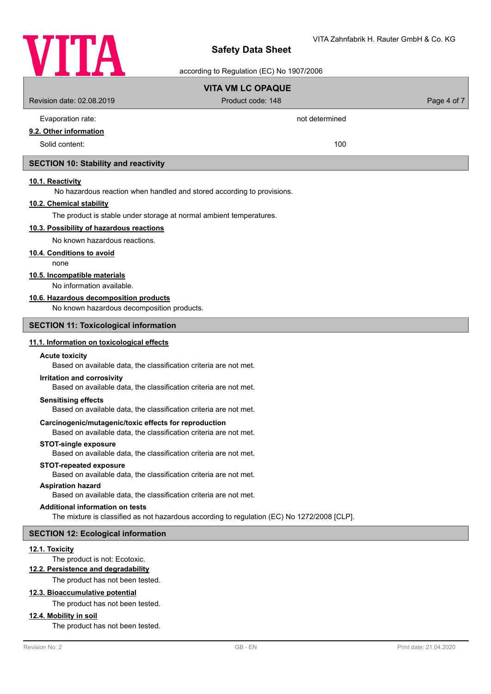

# ding to Regulation  $(EC)$  No 1007/2006

| according to Regulation (EC) No 1907/2006                                                                                  |                                                                                             |             |  |  |
|----------------------------------------------------------------------------------------------------------------------------|---------------------------------------------------------------------------------------------|-------------|--|--|
|                                                                                                                            | <b>VITA VM LC OPAQUE</b>                                                                    |             |  |  |
| Revision date: 02.08.2019                                                                                                  | Product code: 148                                                                           | Page 4 of 7 |  |  |
| Evaporation rate:                                                                                                          | not determined                                                                              |             |  |  |
| 9.2. Other information                                                                                                     |                                                                                             |             |  |  |
| Solid content:                                                                                                             | 100                                                                                         |             |  |  |
| <b>SECTION 10: Stability and reactivity</b>                                                                                |                                                                                             |             |  |  |
| 10.1. Reactivity                                                                                                           |                                                                                             |             |  |  |
| No hazardous reaction when handled and stored according to provisions.                                                     |                                                                                             |             |  |  |
| 10.2. Chemical stability                                                                                                   |                                                                                             |             |  |  |
| The product is stable under storage at normal ambient temperatures.                                                        |                                                                                             |             |  |  |
| 10.3. Possibility of hazardous reactions                                                                                   |                                                                                             |             |  |  |
| No known hazardous reactions.                                                                                              |                                                                                             |             |  |  |
| 10.4. Conditions to avoid<br>none                                                                                          |                                                                                             |             |  |  |
| 10.5. Incompatible materials                                                                                               |                                                                                             |             |  |  |
| No information available.                                                                                                  |                                                                                             |             |  |  |
| 10.6. Hazardous decomposition products                                                                                     |                                                                                             |             |  |  |
| No known hazardous decomposition products.                                                                                 |                                                                                             |             |  |  |
| <b>SECTION 11: Toxicological information</b>                                                                               |                                                                                             |             |  |  |
| 11.1. Information on toxicological effects                                                                                 |                                                                                             |             |  |  |
| <b>Acute toxicity</b><br>Based on available data, the classification criteria are not met.                                 |                                                                                             |             |  |  |
| Irritation and corrosivity<br>Based on available data, the classification criteria are not met.                            |                                                                                             |             |  |  |
| <b>Sensitising effects</b><br>Based on available data, the classification criteria are not met.                            |                                                                                             |             |  |  |
| Carcinogenic/mutagenic/toxic effects for reproduction<br>Based on available data, the classification criteria are not met. |                                                                                             |             |  |  |
| <b>STOT-single exposure</b><br>Based on available data, the classification criteria are not met.                           |                                                                                             |             |  |  |
| <b>STOT-repeated exposure</b><br>Based on available data, the classification criteria are not met.                         |                                                                                             |             |  |  |
| <b>Aspiration hazard</b><br>Based on available data, the classification criteria are not met.                              |                                                                                             |             |  |  |
| <b>Additional information on tests</b>                                                                                     |                                                                                             |             |  |  |
|                                                                                                                            | The mixture is classified as not hazardous according to regulation (EC) No 1272/2008 [CLP]. |             |  |  |
| <b>SECTION 12: Ecological information</b>                                                                                  |                                                                                             |             |  |  |
| 12.1. Toxicity<br>The product is not: Ecotoxic.                                                                            |                                                                                             |             |  |  |
| 12.2. Persistence and degradability                                                                                        |                                                                                             |             |  |  |
| The product has not been tested.                                                                                           |                                                                                             |             |  |  |
| 12.3. Bioaccumulative potential                                                                                            |                                                                                             |             |  |  |
| The product has not been tested.                                                                                           |                                                                                             |             |  |  |
| 12.4. Mobility in soil<br>The product has not been tested.                                                                 |                                                                                             |             |  |  |
|                                                                                                                            |                                                                                             |             |  |  |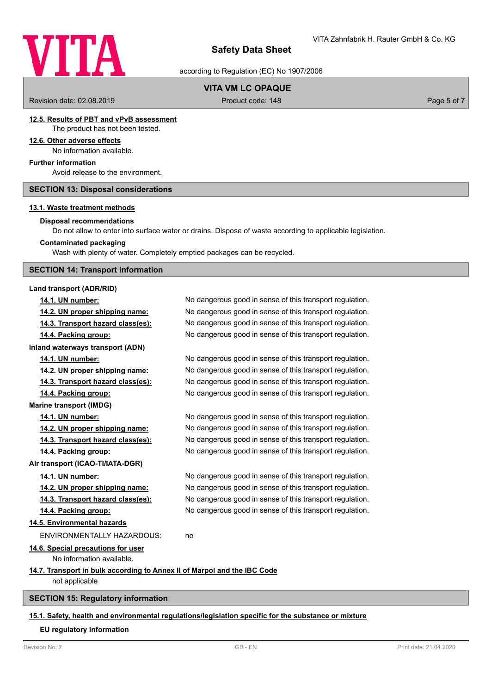

according to Regulation (EC) No 1907/2006

# **VITA VM LC OPAQUE**

Revision date: 02.08.2019 **Product code: 148** Product code: 148 Page 5 of 7

#### **12.5. Results of PBT and vPvB assessment** The product has not been tested.

# **12.6. Other adverse effects**

No information available.

# **Further information**

Avoid release to the environment.

### **SECTION 13: Disposal considerations**

### **13.1. Waste treatment methods**

# **Disposal recommendations**

Do not allow to enter into surface water or drains. Dispose of waste according to applicable legislation.

#### **Contaminated packaging**

Wash with plenty of water. Completely emptied packages can be recycled.

# **SECTION 14: Transport information**

# **Land transport (ADR/RID)**

**14.4. Packing group:** No dangerous good in sense of this transport regulation. **Inland waterways transport (ADN) Marine transport (IMDG) Air transport (ICAO-TI/IATA-DGR) 14.5. Environmental hazards** ENVIRONMENTALLY HAZARDOUS: no **14.6. Special precautions for user** No information available. **14.7. Transport in bulk according to Annex II of Marpol and the IBC Code** not applicable

**SECTION 15: Regulatory information**

### **15.1. Safety, health and environmental regulations/legislation specific for the substance or mixture**

#### **EU regulatory information**

# **14.1. UN number:** No dangerous good in sense of this transport regulation. **14.2. UN proper shipping name:** No dangerous good in sense of this transport regulation. **14.3. Transport hazard class(es):** No dangerous good in sense of this transport regulation.

**14.1. UN number:** No dangerous good in sense of this transport regulation. **14.2. UN proper shipping name:** No dangerous good in sense of this transport regulation.

**14.3. Transport hazard class(es):** No dangerous good in sense of this transport regulation. **14.4. Packing group:** No dangerous good in sense of this transport regulation.

**14.1. UN number:** No dangerous good in sense of this transport regulation. **14.2. UN proper shipping name:** No dangerous good in sense of this transport regulation. **14.3. Transport hazard class(es):** No dangerous good in sense of this transport regulation. **14.4. Packing group:** No dangerous good in sense of this transport regulation.

**14.1. UN number:** No dangerous good in sense of this transport regulation. **14.2. UN proper shipping name:** No dangerous good in sense of this transport regulation. **14.3. Transport hazard class(es):** No dangerous good in sense of this transport regulation. **14.4. Packing group:** No dangerous good in sense of this transport regulation.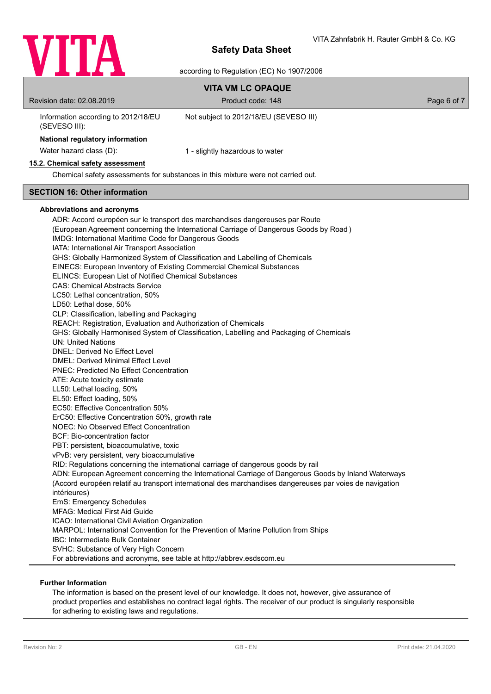

|                                                                                                                                                                                                                                                                                                                                                                                                                                                                                                                                                                                                                                                                                                                                                                                                                                                                                                                                                                                                                                                                                                                                                                                                                                                                                                                        | <b>VITA VM LC OPAQUE</b>                                                                                                                                                                                                                                                                                                                                                                                                                                                                                                                                                                                                                                                                                                                        |             |
|------------------------------------------------------------------------------------------------------------------------------------------------------------------------------------------------------------------------------------------------------------------------------------------------------------------------------------------------------------------------------------------------------------------------------------------------------------------------------------------------------------------------------------------------------------------------------------------------------------------------------------------------------------------------------------------------------------------------------------------------------------------------------------------------------------------------------------------------------------------------------------------------------------------------------------------------------------------------------------------------------------------------------------------------------------------------------------------------------------------------------------------------------------------------------------------------------------------------------------------------------------------------------------------------------------------------|-------------------------------------------------------------------------------------------------------------------------------------------------------------------------------------------------------------------------------------------------------------------------------------------------------------------------------------------------------------------------------------------------------------------------------------------------------------------------------------------------------------------------------------------------------------------------------------------------------------------------------------------------------------------------------------------------------------------------------------------------|-------------|
| Revision date: 02.08.2019                                                                                                                                                                                                                                                                                                                                                                                                                                                                                                                                                                                                                                                                                                                                                                                                                                                                                                                                                                                                                                                                                                                                                                                                                                                                                              | Product code: 148                                                                                                                                                                                                                                                                                                                                                                                                                                                                                                                                                                                                                                                                                                                               | Page 6 of 7 |
| Information according to 2012/18/EU<br>(SEVESO III):                                                                                                                                                                                                                                                                                                                                                                                                                                                                                                                                                                                                                                                                                                                                                                                                                                                                                                                                                                                                                                                                                                                                                                                                                                                                   | Not subject to 2012/18/EU (SEVESO III)                                                                                                                                                                                                                                                                                                                                                                                                                                                                                                                                                                                                                                                                                                          |             |
| National regulatory information                                                                                                                                                                                                                                                                                                                                                                                                                                                                                                                                                                                                                                                                                                                                                                                                                                                                                                                                                                                                                                                                                                                                                                                                                                                                                        |                                                                                                                                                                                                                                                                                                                                                                                                                                                                                                                                                                                                                                                                                                                                                 |             |
| Water hazard class (D):                                                                                                                                                                                                                                                                                                                                                                                                                                                                                                                                                                                                                                                                                                                                                                                                                                                                                                                                                                                                                                                                                                                                                                                                                                                                                                | 1 - slightly hazardous to water                                                                                                                                                                                                                                                                                                                                                                                                                                                                                                                                                                                                                                                                                                                 |             |
| 15.2. Chemical safety assessment                                                                                                                                                                                                                                                                                                                                                                                                                                                                                                                                                                                                                                                                                                                                                                                                                                                                                                                                                                                                                                                                                                                                                                                                                                                                                       |                                                                                                                                                                                                                                                                                                                                                                                                                                                                                                                                                                                                                                                                                                                                                 |             |
|                                                                                                                                                                                                                                                                                                                                                                                                                                                                                                                                                                                                                                                                                                                                                                                                                                                                                                                                                                                                                                                                                                                                                                                                                                                                                                                        | Chemical safety assessments for substances in this mixture were not carried out.                                                                                                                                                                                                                                                                                                                                                                                                                                                                                                                                                                                                                                                                |             |
| <b>SECTION 16: Other information</b>                                                                                                                                                                                                                                                                                                                                                                                                                                                                                                                                                                                                                                                                                                                                                                                                                                                                                                                                                                                                                                                                                                                                                                                                                                                                                   |                                                                                                                                                                                                                                                                                                                                                                                                                                                                                                                                                                                                                                                                                                                                                 |             |
| <b>Abbreviations and acronyms</b><br>IMDG: International Maritime Code for Dangerous Goods<br>IATA: International Air Transport Association<br>EINECS: European Inventory of Existing Commercial Chemical Substances<br>ELINCS: European List of Notified Chemical Substances<br><b>CAS: Chemical Abstracts Service</b><br>LC50: Lethal concentration, 50%<br>LD50: Lethal dose, 50%<br>CLP: Classification, labelling and Packaging<br>REACH: Registration, Evaluation and Authorization of Chemicals<br><b>UN: United Nations</b><br>DNEL: Derived No Effect Level<br><b>DMEL: Derived Minimal Effect Level</b><br><b>PNEC: Predicted No Effect Concentration</b><br>ATE: Acute toxicity estimate<br>LL50: Lethal loading, 50%<br>EL50: Effect loading, 50%<br>EC50: Effective Concentration 50%<br>ErC50: Effective Concentration 50%, growth rate<br>NOEC: No Observed Effect Concentration<br>BCF: Bio-concentration factor<br>PBT: persistent, bioaccumulative, toxic<br>vPvB: very persistent, very bioaccumulative<br>intérieures)<br>EmS: Emergency Schedules<br><b>MFAG: Medical First Aid Guide</b><br>ICAO: International Civil Aviation Organization<br>IBC: Intermediate Bulk Container<br>SVHC: Substance of Very High Concern<br>For abbreviations and acronyms, see table at http://abbrev.esdscom.eu | ADR: Accord européen sur le transport des marchandises dangereuses par Route<br>(European Agreement concerning the International Carriage of Dangerous Goods by Road)<br>GHS: Globally Harmonized System of Classification and Labelling of Chemicals<br>GHS: Globally Harmonised System of Classification, Labelling and Packaging of Chemicals<br>RID: Regulations concerning the international carriage of dangerous goods by rail<br>ADN: European Agreement concerning the International Carriage of Dangerous Goods by Inland Waterways<br>(Accord européen relatif au transport international des marchandises dangereuses par voies de navigation<br>MARPOL: International Convention for the Prevention of Marine Pollution from Ships |             |

# **Further Information**

The information is based on the present level of our knowledge. It does not, however, give assurance of product properties and establishes no contract legal rights. The receiver of our product is singularly responsible for adhering to existing laws and regulations.